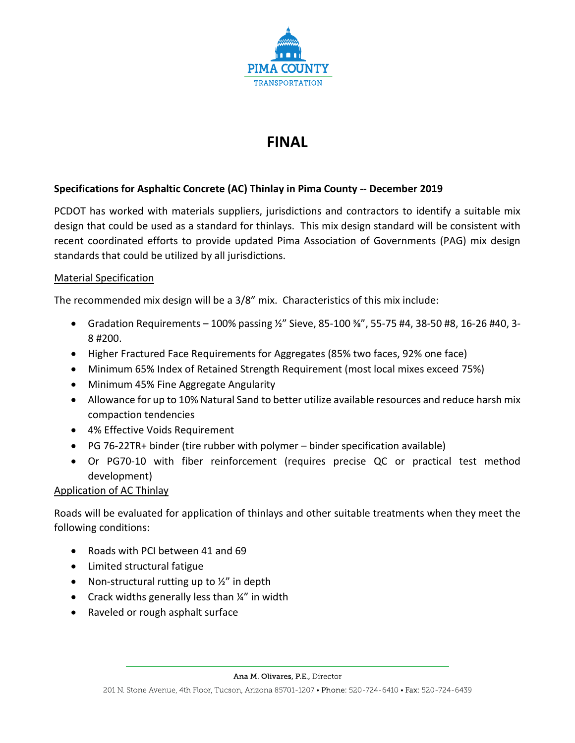

# **FINAL**

## **Specifications for Asphaltic Concrete (AC) Thinlay in Pima County -- December 2019**

PCDOT has worked with materials suppliers, jurisdictions and contractors to identify a suitable mix design that could be used as a standard for thinlays. This mix design standard will be consistent with recent coordinated efforts to provide updated Pima Association of Governments (PAG) mix design standards that could be utilized by all jurisdictions.

### Material Specification

The recommended mix design will be a 3/8" mix. Characteristics of this mix include:

- Gradation Requirements 100% passing ½" Sieve, 85-100 ⅜", 55-75 #4, 38-50 #8, 16-26 #40, 3- 8 #200.
- Higher Fractured Face Requirements for Aggregates (85% two faces, 92% one face)
- Minimum 65% Index of Retained Strength Requirement (most local mixes exceed 75%)
- Minimum 45% Fine Aggregate Angularity
- Allowance for up to 10% Natural Sand to better utilize available resources and reduce harsh mix compaction tendencies
- 4% Effective Voids Requirement
- PG 76-22TR+ binder (tire rubber with polymer binder specification available)
- Or PG70-10 with fiber reinforcement (requires precise QC or practical test method development)

### Application of AC Thinlay

Roads will be evaluated for application of thinlays and other suitable treatments when they meet the following conditions:

- Roads with PCI between 41 and 69
- Limited structural fatigue
- Non-structural rutting up to  $\frac{1}{2}$ " in depth
- Crack widths generally less than  $\frac{1}{4}$ " in width
- Raveled or rough asphalt surface